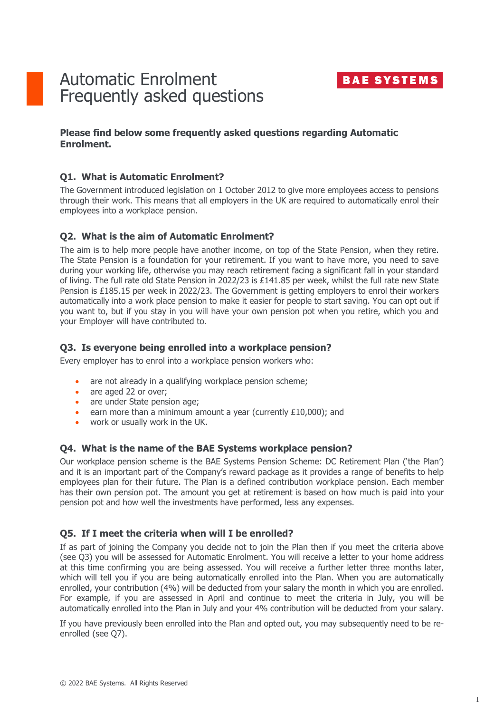

# Automatic Enrolment Frequently asked questions

# **Please find below some frequently asked questions regarding Automatic Enrolment.**

### **Q1. What is Automatic Enrolment?**

The Government introduced legislation on 1 October 2012 to give more employees access to pensions through their work. This means that all employers in the UK are required to automatically enrol their employees into a workplace pension.

# **Q2. What is the aim of Automatic Enrolment?**

The aim is to help more people have another income, on top of the State Pension, when they retire. The State Pension is a foundation for your retirement. If you want to have more, you need to save during your working life, otherwise you may reach retirement facing a significant fall in your standard of living. The full rate old State Pension in 2022/23 is £141.85 per week, whilst the full rate new State Pension is £185.15 per week in 2022/23. The Government is getting employers to enrol their workers automatically into a work place pension to make it easier for people to start saving. You can opt out if you want to, but if you stay in you will have your own pension pot when you retire, which you and your Employer will have contributed to.

#### **Q3. Is everyone being enrolled into a workplace pension?**

Every employer has to enrol into a workplace pension workers who:

- are not already in a qualifying workplace pension scheme;
- are aged 22 or over;
- are under State pension age;
- earn more than a minimum amount a year (currently £10,000); and
- work or usually work in the UK.

#### **Q4. What is the name of the BAE Systems workplace pension?**

Our workplace pension scheme is the BAE Systems Pension Scheme: DC Retirement Plan ('the Plan') and it is an important part of the Company's reward package as it provides a range of benefits to help employees plan for their future. The Plan is a defined contribution workplace pension. Each member has their own pension pot. The amount you get at retirement is based on how much is paid into your pension pot and how well the investments have performed, less any expenses.

#### **Q5. If I meet the criteria when will I be enrolled?**

If as part of joining the Company you decide not to join the Plan then if you meet the criteria above (see Q3) you will be assessed for Automatic Enrolment. You will receive a letter to your home address at this time confirming you are being assessed. You will receive a further letter three months later, which will tell you if you are being automatically enrolled into the Plan. When you are automatically enrolled, your contribution (4%) will be deducted from your salary the month in which you are enrolled. For example, if you are assessed in April and continue to meet the criteria in July, you will be automatically enrolled into the Plan in July and your 4% contribution will be deducted from your salary.

If you have previously been enrolled into the Plan and opted out, you may subsequently need to be reenrolled (see Q7).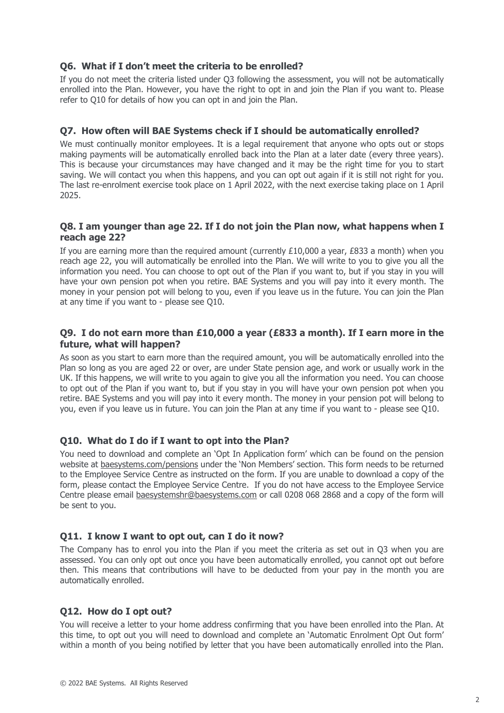# **Q6. What if I don't meet the criteria to be enrolled?**

If you do not meet the criteria listed under Q3 following the assessment, you will not be automatically enrolled into the Plan. However, you have the right to opt in and join the Plan if you want to. Please refer to Q10 for details of how you can opt in and join the Plan.

# **Q7. How often will BAE Systems check if I should be automatically enrolled?**

We must continually monitor employees. It is a legal requirement that anyone who opts out or stops making payments will be automatically enrolled back into the Plan at a later date (every three years). This is because your circumstances may have changed and it may be the right time for you to start saving. We will contact you when this happens, and you can opt out again if it is still not right for you. The last re-enrolment exercise took place on 1 April 2022, with the next exercise taking place on 1 April 2025.

### **Q8. I am younger than age 22. If I do not join the Plan now, what happens when I reach age 22?**

If you are earning more than the required amount (currently  $£10,000$  a year,  $£833$  a month) when you reach age 22, you will automatically be enrolled into the Plan. We will write to you to give you all the information you need. You can choose to opt out of the Plan if you want to, but if you stay in you will have your own pension pot when you retire. BAE Systems and you will pay into it every month. The money in your pension pot will belong to you, even if you leave us in the future. You can join the Plan at any time if you want to - please see Q10.

# **Q9. I do not earn more than £10,000 a year (£833 a month). If I earn more in the future, what will happen?**

As soon as you start to earn more than the required amount, you will be automatically enrolled into the Plan so long as you are aged 22 or over, are under State pension age, and work or usually work in the UK. If this happens, we will write to you again to give you all the information you need. You can choose to opt out of the Plan if you want to, but if you stay in you will have your own pension pot when you retire. BAE Systems and you will pay into it every month. The money in your pension pot will belong to you, even if you leave us in future. You can join the Plan at any time if you want to - please see Q10.

# **Q10. What do I do if I want to opt into the Plan?**

You need to download and complete an 'Opt In Application form' which can be found on the pension website at [baesystems.com/pensions](https://www.baesystems.com/en-pensions/non-members/i-already-work-for-the-company) under the 'Non Members' section. This form needs to be returned to the Employee Service Centre as instructed on the form. If you are unable to download a copy of the form, please contact the Employee Service Centre. If you do not have access to the Employee Service Centre please email [baesystemshr@baesystems.com](mailto:baesystemshr@baesystems.com) or call 0208 068 2868 and a copy of the form will be sent to you.

#### **Q11. I know I want to opt out, can I do it now?**

The Company has to enrol you into the Plan if you meet the criteria as set out in Q3 when you are assessed. You can only opt out once you have been automatically enrolled, you cannot opt out before then. This means that contributions will have to be deducted from your pay in the month you are automatically enrolled.

# **Q12. How do I opt out?**

You will receive a letter to your home address confirming that you have been enrolled into the Plan. At this time, to opt out you will need to download and complete an 'Automatic Enrolment Opt Out form' within a month of you being notified by letter that you have been automatically enrolled into the Plan.